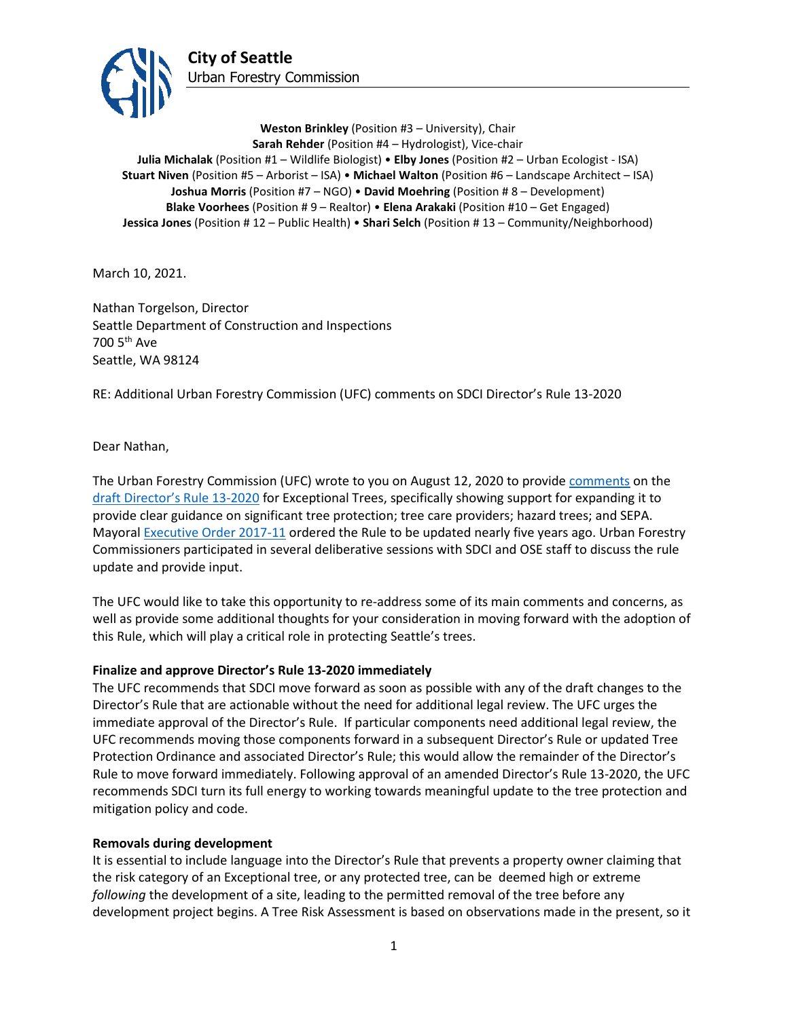

**Weston Brinkley** (Position #3 – University), Chair **Sarah Rehder** (Position #4 – Hydrologist), Vice-chair **Julia Michalak** (Position #1 – Wildlife Biologist) • **Elby Jones** (Position #2 – Urban Ecologist - ISA) **Stuart Niven** (Position #5 – Arborist – ISA) • **Michael Walton** (Position #6 – Landscape Architect – ISA) **Joshua Morris** (Position #7 – NGO) • **David Moehring** (Position # 8 – Development) **Blake Voorhees** (Position # 9 – Realtor) • **Elena Arakaki** (Position #10 – Get Engaged) **Jessica Jones** (Position # 12 – Public Health) • **Shari Selch** (Position # 13 – Community/Neighborhood)

March 10, 2021.

Nathan Torgelson, Director Seattle Department of Construction and Inspections 700 5th Ave Seattle, WA 98124

RE: Additional Urban Forestry Commission (UFC) comments on SDCI Director's Rule 13-2020

# Dear Nathan,

The Urban Forestry Commission (UFC) wrote to you on August 12, 2020 to provide [comments](http://www.seattle.gov/Documents/Departments/UrbanForestryCommission/FinalIssuedDocuments/WhatWeDo-Recomms/ADOPTED-DR13-2020letter081220.pdf) on the [draft Director's Rule 13-2020](http://www.seattle.gov/Documents/Departments/UrbanForestryCommission/Resources/07.16.2020%20DDR2020-13.pdf) for Exceptional Trees, specifically showing support for expanding it to provide clear guidance on significant tree protection; tree care providers; hazard trees; and SEPA. Mayora[l Executive Order](http://www.seattle.gov/Documents/Departments/UrbanForestryCommission/2018/2018docs/TreeExecOrder2017-11FINAL.pdf) 2017-11 ordered the Rule to be updated nearly five years ago. Urban Forestry Commissioners participated in several deliberative sessions with SDCI and OSE staff to discuss the rule update and provide input.

The UFC would like to take this opportunity to re-address some of its main comments and concerns, as well as provide some additional thoughts for your consideration in moving forward with the adoption of this Rule, which will play a critical role in protecting Seattle's trees.

# **Finalize and approve Director's Rule 13-2020 immediately**

The UFC recommends that SDCI move forward as soon as possible with any of the draft changes to the Director's Rule that are actionable without the need for additional legal review. The UFC urges the immediate approval of the Director's Rule. If particular components need additional legal review, the UFC recommends moving those components forward in a subsequent Director's Rule or updated Tree Protection Ordinance and associated Director's Rule; this would allow the remainder of the Director's Rule to move forward immediately. Following approval of an amended Director's Rule 13-2020, the UFC recommends SDCI turn its full energy to working towards meaningful update to the tree protection and mitigation policy and code.

# **Removals during development**

It is essential to include language into the Director's Rule that prevents a property owner claiming that the risk category of an Exceptional tree, or any protected tree, can be deemed high or extreme *following* the development of a site, leading to the permitted removal of the tree before any development project begins. A Tree Risk Assessment is based on observations made in the present, so it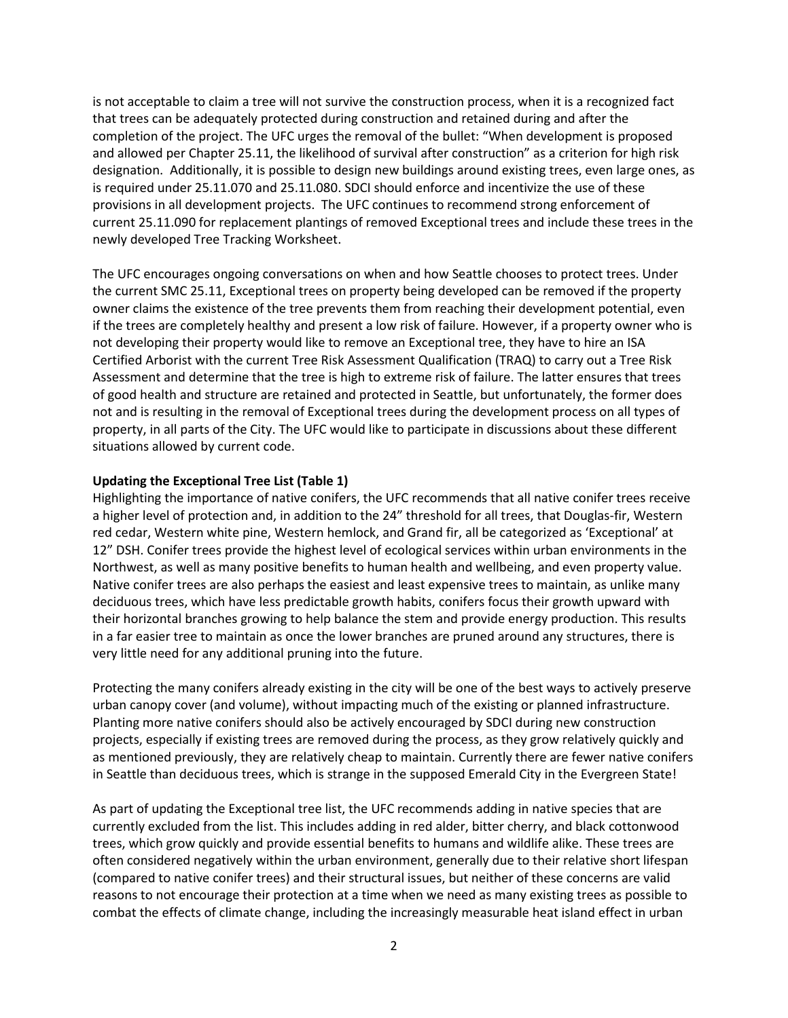is not acceptable to claim a tree will not survive the construction process, when it is a recognized fact that trees can be adequately protected during construction and retained during and after the completion of the project. The UFC urges the removal of the bullet: "When development is proposed and allowed per Chapter 25.11, the likelihood of survival after construction" as a criterion for high risk designation. Additionally, it is possible to design new buildings around existing trees, even large ones, as is required under 25.11.070 and 25.11.080. SDCI should enforce and incentivize the use of these provisions in all development projects. The UFC continues to recommend strong enforcement of current 25.11.090 for replacement plantings of removed Exceptional trees and include these trees in the newly developed Tree Tracking Worksheet.

The UFC encourages ongoing conversations on when and how Seattle chooses to protect trees. Under the current SMC 25.11, Exceptional trees on property being developed can be removed if the property owner claims the existence of the tree prevents them from reaching their development potential, even if the trees are completely healthy and present a low risk of failure. However, if a property owner who is not developing their property would like to remove an Exceptional tree, they have to hire an ISA Certified Arborist with the current Tree Risk Assessment Qualification (TRAQ) to carry out a Tree Risk Assessment and determine that the tree is high to extreme risk of failure. The latter ensures that trees of good health and structure are retained and protected in Seattle, but unfortunately, the former does not and is resulting in the removal of Exceptional trees during the development process on all types of property, in all parts of the City. The UFC would like to participate in discussions about these different situations allowed by current code.

### **Updating the Exceptional Tree List (Table 1)**

Highlighting the importance of native conifers, the UFC recommends that all native conifer trees receive a higher level of protection and, in addition to the 24" threshold for all trees, that Douglas-fir, Western red cedar, Western white pine, Western hemlock, and Grand fir, all be categorized as 'Exceptional' at 12" DSH. Conifer trees provide the highest level of ecological services within urban environments in the Northwest, as well as many positive benefits to human health and wellbeing, and even property value. Native conifer trees are also perhaps the easiest and least expensive trees to maintain, as unlike many deciduous trees, which have less predictable growth habits, conifers focus their growth upward with their horizontal branches growing to help balance the stem and provide energy production. This results in a far easier tree to maintain as once the lower branches are pruned around any structures, there is very little need for any additional pruning into the future.

Protecting the many conifers already existing in the city will be one of the best ways to actively preserve urban canopy cover (and volume), without impacting much of the existing or planned infrastructure. Planting more native conifers should also be actively encouraged by SDCI during new construction projects, especially if existing trees are removed during the process, as they grow relatively quickly and as mentioned previously, they are relatively cheap to maintain. Currently there are fewer native conifers in Seattle than deciduous trees, which is strange in the supposed Emerald City in the Evergreen State!

As part of updating the Exceptional tree list, the UFC recommends adding in native species that are currently excluded from the list. This includes adding in red alder, bitter cherry, and black cottonwood trees, which grow quickly and provide essential benefits to humans and wildlife alike. These trees are often considered negatively within the urban environment, generally due to their relative short lifespan (compared to native conifer trees) and their structural issues, but neither of these concerns are valid reasons to not encourage their protection at a time when we need as many existing trees as possible to combat the effects of climate change, including the increasingly measurable heat island effect in urban